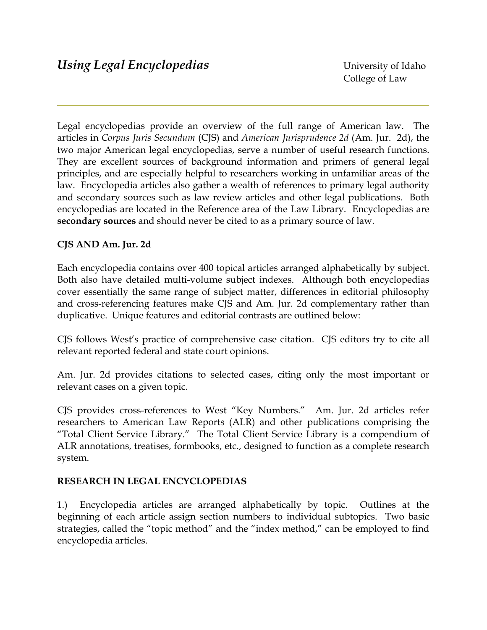Legal encyclopedias provide an overview of the full range of American law. The articles in *Corpus Juris Secundum* (CJS) and *American Jurisprudence 2d* (Am. Jur. 2d), the two major American legal encyclopedias, serve a number of useful research functions. They are excellent sources of background information and primers of general legal principles, and are especially helpful to researchers working in unfamiliar areas of the law. Encyclopedia articles also gather a wealth of references to primary legal authority and secondary sources such as law review articles and other legal publications. Both encyclopedias are located in the Reference area of the Law Library. Encyclopedias are **secondary sources** and should never be cited to as a primary source of law.

## **CJS AND Am. Jur. 2d**

Each encyclopedia contains over 400 topical articles arranged alphabetically by subject. Both also have detailed multi-volume subject indexes. Although both encyclopedias cover essentially the same range of subject matter, differences in editorial philosophy and cross-referencing features make CJS and Am. Jur. 2d complementary rather than duplicative. Unique features and editorial contrasts are outlined below:

CJS follows West's practice of comprehensive case citation. CJS editors try to cite all relevant reported federal and state court opinions.

Am. Jur. 2d provides citations to selected cases, citing only the most important or relevant cases on a given topic.

CJS provides cross-references to West "Key Numbers." Am. Jur. 2d articles refer researchers to American Law Reports (ALR) and other publications comprising the "Total Client Service Library." The Total Client Service Library is a compendium of ALR annotations, treatises, formbooks, etc., designed to function as a complete research system.

## **RESEARCH IN LEGAL ENCYCLOPEDIAS**

1.) Encyclopedia articles are arranged alphabetically by topic. Outlines at the beginning of each article assign section numbers to individual subtopics. Two basic strategies, called the "topic method" and the "index method," can be employed to find encyclopedia articles.